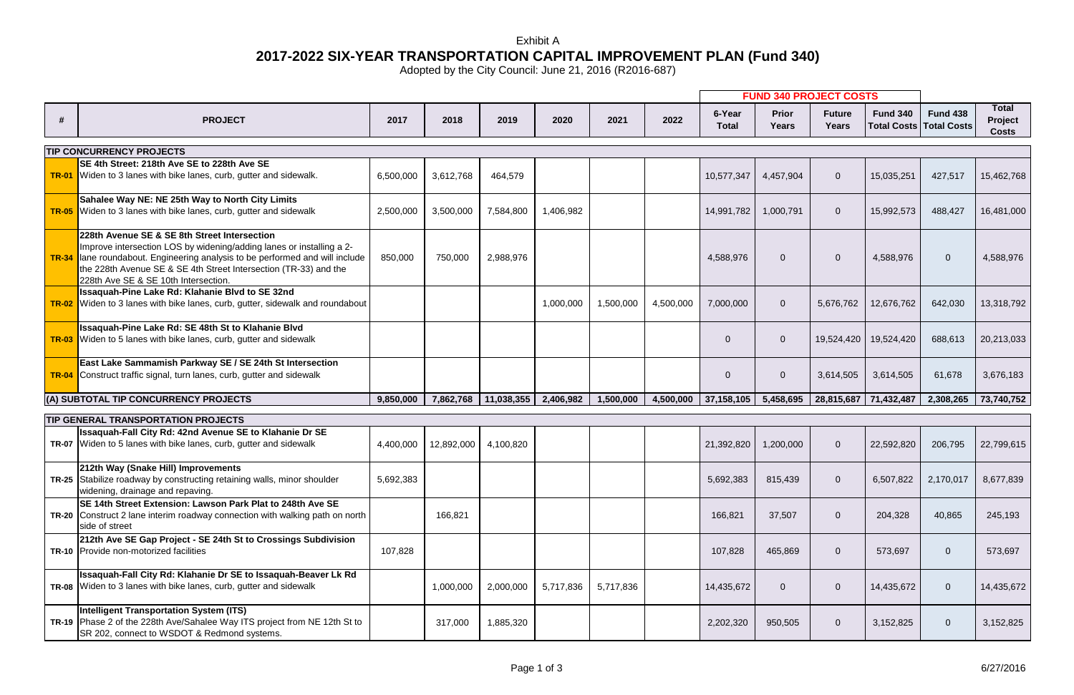|                                 |                                                                                                                                                                                                                                                                                                            |           |            |            |           |           |           | <b>FUND 340 PROJECT COSTS</b> |                              |                               |                 |                                                     |                                         |
|---------------------------------|------------------------------------------------------------------------------------------------------------------------------------------------------------------------------------------------------------------------------------------------------------------------------------------------------------|-----------|------------|------------|-----------|-----------|-----------|-------------------------------|------------------------------|-------------------------------|-----------------|-----------------------------------------------------|-----------------------------------------|
| #                               | <b>PROJECT</b>                                                                                                                                                                                                                                                                                             | 2017      | 2018       | 2019       | 2020      | 2021      | 2022      | 6-Year<br><b>Total</b>        | <b>Prior</b><br><b>Years</b> | <b>Future</b><br><b>Years</b> | <b>Fund 340</b> | <b>Fund 438</b><br><b>Total Costs   Total Costs</b> | <b>Total</b><br>Project<br><b>Costs</b> |
| <b>TIP CONCURRENCY PROJECTS</b> |                                                                                                                                                                                                                                                                                                            |           |            |            |           |           |           |                               |                              |                               |                 |                                                     |                                         |
|                                 | SE 4th Street: 218th Ave SE to 228th Ave SE<br>TR-01 Widen to 3 lanes with bike lanes, curb, gutter and sidewalk.                                                                                                                                                                                          | 6,500,000 | 3,612,768  | 464,579    |           |           |           | 10,577,347                    | 4,457,904                    | $\overline{0}$                | 15,035,251      | 427,517                                             | 15,462,768                              |
| <b>TR-05</b>                    | Sahalee Way NE: NE 25th Way to North City Limits<br>Widen to 3 lanes with bike lanes, curb, gutter and sidewalk                                                                                                                                                                                            | 2,500,000 | 3,500,000  | 7,584,800  | 1,406,982 |           |           | 14,991,782                    | 1,000,791                    | $\overline{0}$                | 15,992,573      | 488,427                                             | 16,481,000                              |
| <b>TR-34</b>                    | 228th Avenue SE & SE 8th Street Intersection<br>Improve intersection LOS by widening/adding lanes or installing a 2-<br>lane roundabout. Engineering analysis to be performed and will include<br>the 228th Avenue SE & SE 4th Street Intersection (TR-33) and the<br>228th Ave SE & SE 10th Intersection. | 850,000   | 750,000    | 2,988,976  |           |           |           | 4,588,976                     | $\overline{0}$               | $\overline{0}$                | 4,588,976       | $\overline{0}$                                      | 4,588,976                               |
|                                 | Issaquah-Pine Lake Rd: Klahanie Blvd to SE 32nd<br><b>TR-02</b> Widen to 3 lanes with bike lanes, curb, gutter, sidewalk and roundabout                                                                                                                                                                    |           |            |            | 1,000,000 | 1,500,000 | 4,500,000 | 7,000,000                     | $\overline{0}$               | 5,676,762                     | 12,676,762      | 642,030                                             | 13,318,792                              |
| <b>TR-03</b>                    | Issaquah-Pine Lake Rd: SE 48th St to Klahanie Blvd<br>Widen to 5 lanes with bike lanes, curb, gutter and sidewalk                                                                                                                                                                                          |           |            |            |           |           |           | $\Omega$                      | $\mathbf 0$                  | 19,524,420                    | 19,524,420      | 688,613                                             | 20,213,033                              |
| <b>TR-04</b>                    | East Lake Sammamish Parkway SE / SE 24th St Intersection<br>Construct traffic signal, turn lanes, curb, gutter and sidewalk                                                                                                                                                                                |           |            |            |           |           |           | $\Omega$                      | $\overline{0}$               | 3,614,505                     | 3,614,505       | 61,678                                              | 3,676,183                               |
|                                 | (A) SUBTOTAL TIP CONCURRENCY PROJECTS                                                                                                                                                                                                                                                                      | 9,850,000 | 7,862,768  | 11,038,355 | 2,406,982 | 1,500,000 | 4,500,000 | 37,158,105                    | 5,458,695                    | 28,815,687 71,432,487         |                 | 2,308,265                                           | 73,740,752                              |
|                                 | <b>TIP GENERAL TRANSPORTATION PROJECTS</b>                                                                                                                                                                                                                                                                 |           |            |            |           |           |           |                               |                              |                               |                 |                                                     |                                         |
|                                 | Issaquah-Fall City Rd: 42nd Avenue SE to Klahanie Dr SE<br><b>TR-07</b> Widen to 5 lanes with bike lanes, curb, gutter and sidewalk                                                                                                                                                                        | 4,400,000 | 12,892,000 | 4,100,820  |           |           |           | 21,392,820                    | 1,200,000                    | $\mathbf{0}$                  | 22,592,820      | 206,795                                             | 22,799,615                              |
|                                 | 212th Way (Snake Hill) Improvements<br>TR-25 Stabilize roadway by constructing retaining walls, minor shoulder<br>widening, drainage and repaving.                                                                                                                                                         | 5,692,383 |            |            |           |           |           | 5,692,383                     | 815,439                      | $\overline{0}$                |                 | $6,507,822$   2,170,017                             | 8,677,839                               |
|                                 | SE 14th Street Extension: Lawson Park Plat to 248th Ave SE<br><b>TR-20</b> Construct 2 lane interim roadway connection with walking path on north<br>side of street                                                                                                                                        |           | 166,821    |            |           |           |           | 166,821                       | 37,507                       | $\overline{0}$                | 204,328         | 40,865                                              | 245,193                                 |
|                                 | 212th Ave SE Gap Project - SE 24th St to Crossings Subdivision<br>TR-10 Provide non-motorized facilities                                                                                                                                                                                                   | 107,828   |            |            |           |           |           | 107,828                       | 465,869                      | $\overline{0}$                | 573,697         | $\mathbf{0}$                                        | 573,697                                 |
|                                 | Issaquah-Fall City Rd: Klahanie Dr SE to Issaquah-Beaver Lk Rd<br>TR-08 Widen to 3 lanes with bike lanes, curb, gutter and sidewalk                                                                                                                                                                        |           | 1,000,000  | 2,000,000  | 5,717,836 | 5,717,836 |           | 14,435,672                    | $\overline{0}$               | $\overline{0}$                | 14,435,672      | $\overline{0}$                                      | 14,435,672                              |
|                                 | <b>Intelligent Transportation System (ITS)</b><br>TR-19 Phase 2 of the 228th Ave/Sahalee Way ITS project from NE 12th St to<br>SR 202, connect to WSDOT & Redmond systems.                                                                                                                                 |           | 317,000    | 1,885,320  |           |           |           | 2,202,320                     | 950,505                      | $\overline{0}$                | 3,152,825       | $\overline{0}$                                      | 3,152,825                               |

Adopted by the City Council: June 21, 2016 (R2016-687)

## **2017-2022 SIX-YEAR TRANSPORTATION CAPITAL IMPROVEMENT PLAN (Fund 340)** Exhibit A